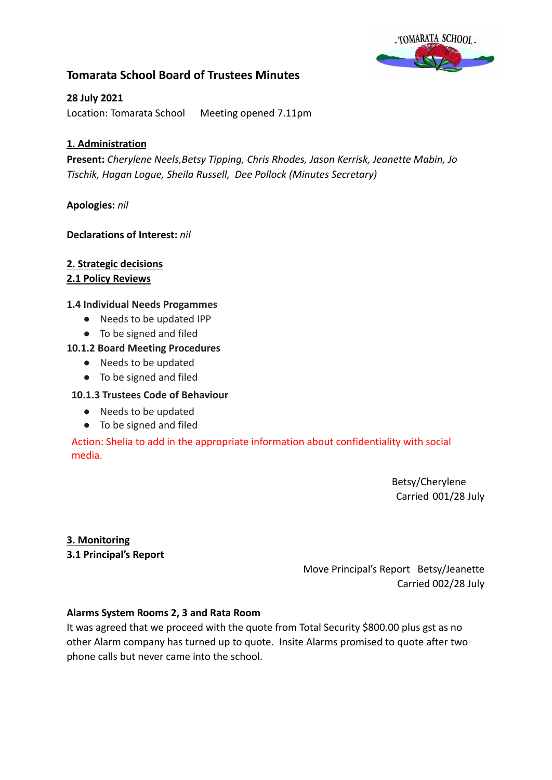

# **Tomarata School Board of Trustees Minutes**

# **28 July 2021**

Location: Tomarata School Meeting opened 7.11pm

# **1. Administration**

**Present:** *Cherylene Neels,Betsy Tipping, Chris Rhodes, Jason Kerrisk, Jeanette Mabin, Jo Tischik, Hagan Logue, Sheila Russell, Dee Pollock (Minutes Secretary)*

# **Apologies:** *nil*

# **Declarations of Interest:** *nil*

# **2. Strategic decisions**

# **2.1 Policy Reviews**

# **1.4 Individual Needs Progammes**

- Needs to be updated IPP
- To be signed and filed

# **10.1.2 Board Meeting Procedures**

- Needs to be updated
- To be signed and filed

### **10.1.3 Trustees Code of Behaviour**

- Needs to be updated
- To be signed and filed

Action: Shelia to add in the appropriate information about confidentiality with social media.

> Betsy/Cherylene Carried 001/28 July

#### **3. Monitoring**

**3.1 Principal's Report**

Move Principal's Report Betsy/Jeanette Carried 002/28 July

#### **Alarms System Rooms 2, 3 and Rata Room**

It was agreed that we proceed with the quote from Total Security \$800.00 plus gst as no other Alarm company has turned up to quote. Insite Alarms promised to quote after two phone calls but never came into the school.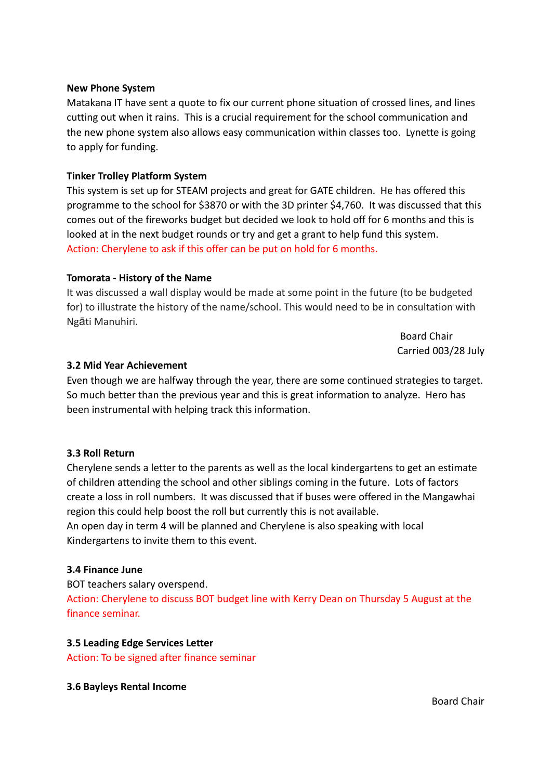#### **New Phone System**

Matakana IT have sent a quote to fix our current phone situation of crossed lines, and lines cutting out when it rains. This is a crucial requirement for the school communication and the new phone system also allows easy communication within classes too. Lynette is going to apply for funding.

### **Tinker Trolley Platform System**

This system is set up for STEAM projects and great for GATE children. He has offered this programme to the school for \$3870 or with the 3D printer \$4,760. It was discussed that this comes out of the fireworks budget but decided we look to hold off for 6 months and this is looked at in the next budget rounds or try and get a grant to help fund this system. Action: Cherylene to ask if this offer can be put on hold for 6 months.

#### **Tomorata - History of the Name**

It was discussed a wall display would be made at some point in the future (to be budgeted for) to illustrate the history of the name/school. This would need to be in consultation with Ngāti Manuhiri.

> Board Chair Carried 003/28 July

#### **3.2 Mid Year Achievement**

Even though we are halfway through the year, there are some continued strategies to target. So much better than the previous year and this is great information to analyze. Hero has been instrumental with helping track this information.

#### **3.3 Roll Return**

Cherylene sends a letter to the parents as well as the local kindergartens to get an estimate of children attending the school and other siblings coming in the future. Lots of factors create a loss in roll numbers. It was discussed that if buses were offered in the Mangawhai region this could help boost the roll but currently this is not available. An open day in term 4 will be planned and Cherylene is also speaking with local Kindergartens to invite them to this event.

#### **3.4 Finance June**

BOT teachers salary overspend. Action: Cherylene to discuss BOT budget line with Kerry Dean on Thursday 5 August at the finance seminar.

#### **3.5 Leading Edge Services Letter**

Action: To be signed after finance seminar

#### **3.6 Bayleys Rental Income**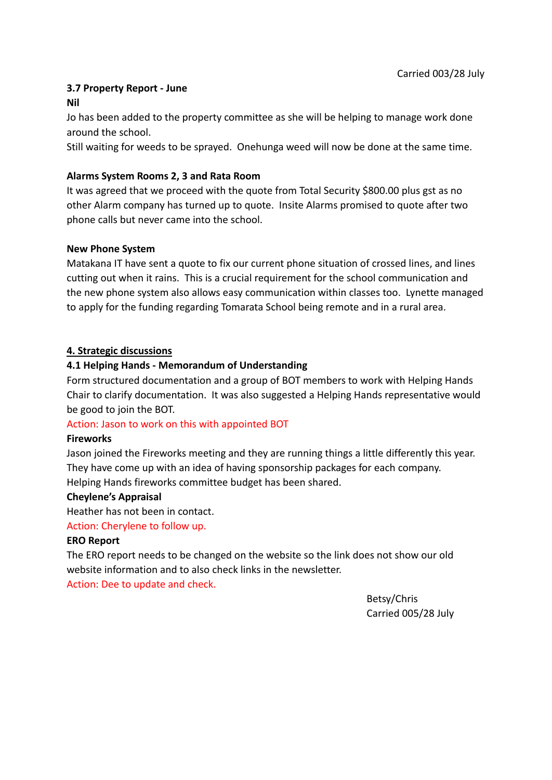# **3.7 Property Report - June**

#### **Nil**

Jo has been added to the property committee as she will be helping to manage work done around the school.

Still waiting for weeds to be sprayed. Onehunga weed will now be done at the same time.

# **Alarms System Rooms 2, 3 and Rata Room**

It was agreed that we proceed with the quote from Total Security \$800.00 plus gst as no other Alarm company has turned up to quote. Insite Alarms promised to quote after two phone calls but never came into the school.

# **New Phone System**

Matakana IT have sent a quote to fix our current phone situation of crossed lines, and lines cutting out when it rains. This is a crucial requirement for the school communication and the new phone system also allows easy communication within classes too. Lynette managed to apply for the funding regarding Tomarata School being remote and in a rural area.

# **4. Strategic discussions**

# **4.1 Helping Hands - Memorandum of Understanding**

Form structured documentation and a group of BOT members to work with Helping Hands Chair to clarify documentation. It was also suggested a Helping Hands representative would be good to join the BOT.

#### Action: Jason to work on this with appointed BOT

#### **Fireworks**

Jason joined the Fireworks meeting and they are running things a little differently this year. They have come up with an idea of having sponsorship packages for each company. Helping Hands fireworks committee budget has been shared.

#### **Cheylene's Appraisal**

Heather has not been in contact.

### Action: Cherylene to follow up.

#### **ERO Report**

The ERO report needs to be changed on the website so the link does not show our old website information and to also check links in the newsletter.

Action: Dee to update and check.

Betsy/Chris Carried 005/28 July